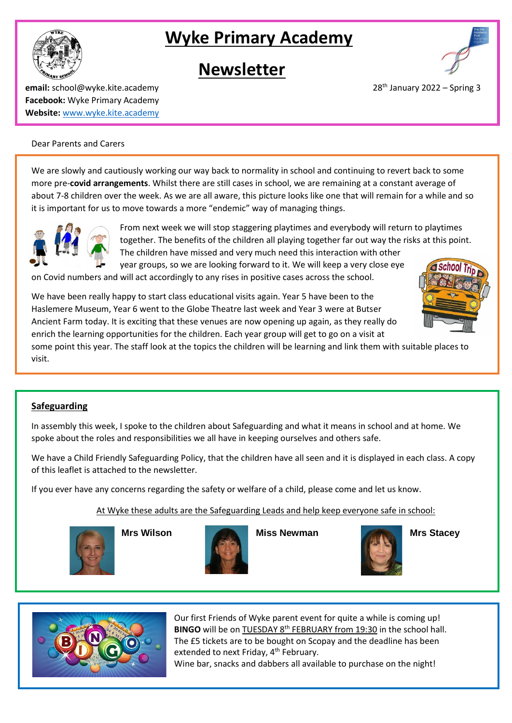

# **Newsletter**



**email:** school@wyke.kite.academy 2022 – Spring 3 **Facebook:** Wyke Primary Academy **Website:** [www.wyke.kite.academy](http://www.wyke.kite.academy/)

## Dear Parents and Carers

We are slowly and cautiously working our way back to normality in school and continuing to revert back to some more pre-**covid arrangements**. Whilst there are still cases in school, we are remaining at a constant average of about 7-8 children over the week. As we are all aware, this picture looks like one that will remain for a while and so it is important for us to move towards a more "endemic" way of managing things.



From next week we will stop staggering playtimes and everybody will return to playtimes together. The benefits of the children all playing together far out way the risks at this point. The children have missed and very much need this interaction with other

year groups, so we are looking forward to it. We will keep a very close eye on Covid numbers and will act accordingly to any rises in positive cases across the school.

We have been really happy to start class educational visits again. Year 5 have been to the Haslemere Museum, Year 6 went to the Globe Theatre last week and Year 3 were at Butser Ancient Farm today. It is exciting that these venues are now opening up again, as they really do enrich the learning opportunities for the children. Each year group will get to go on a visit at

some point this year. The staff look at the topics the children will be learning and link them with suitable places to visit.

## **Safeguarding**

In assembly this week, I spoke to the children about Safeguarding and what it means in school and at home. We spoke about the roles and responsibilities we all have in keeping ourselves and others safe.

We have a Child Friendly Safeguarding Policy, that the children have all seen and it is displayed in each class. A copy of this leaflet is attached to the newsletter.

If you ever have any concerns regarding the safety or welfare of a child, please come and let us know.

At Wyke these adults are the Safeguarding Leads and help keep everyone safe in school:





**Mrs Wilson Miss Newman Mrs Stacey**





Our first Friends of Wyke parent event for quite a while is coming up! **BINGO** will be on TUESDAY 8<sup>th</sup> FEBRUARY from 19:30 in the school hall. The £5 tickets are to be bought on Scopay and the deadline has been extended to next Friday, 4<sup>th</sup> February.

Wine bar, snacks and dabbers all available to purchase on the night!